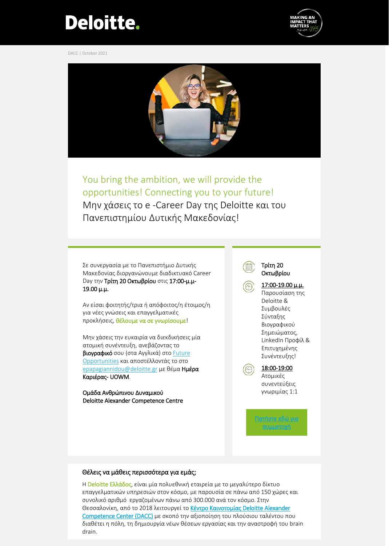## **Deloitte.**

DACC | October 2021





You bring the ambition, we will provide the opportunities! Connecting you to your future! Μην χάσεις το e -Career Day της Deloitte και του Πανεπιστημίου Δυτικής Μακεδονίας!

Σε συνεργασία με το Πανεπιστήμιο Δυτικής Μακεδονίας διοργανώνουμε διαδικτυακό Career Day την Τρίτη 20 Οκτωβρίου στις 17:00-μ.μ-19.00 μ.μ.

Αν είσαι φοιτητής/τρια ή απόφοιτος/η έτοιμος/η για νέες γνώσεις και επαγγελματικές προκλήσεις, θέλουμε να σε γνωρίσουμε!

Μην χάσεις την ευκαιρία να διεκδικήσεις μία ατομική συνέντευξη, ανεβάζοντας το βιογραφικό σου (στα Αγγλικά) στο [Future](https://www2.deloitte.com/gr/en/pages/careers/careers/future-opportunities-deloitte-greece-careers.html) [Opportunities](https://www2.deloitte.com/gr/en/pages/careers/careers/future-opportunities-deloitte-greece-careers.html) και αποστέλλοντάς το στο [epapagiannidou@deloitte](mailto:epapagiannidou@deloitte.gr).gr με θέμα Ημέρα Καριέρας- UOWM.

Ομάδα Ανθρώπινου Δυναμικού Deloitte Alexander Competence Centre

Τρίτη 20 Οκτωβρίου 17:00-19.00 μ.μ. Παρουσίαση της Deloitte & Συμβουλές Σύνταξης Βιογραφικού

> Σημειώματος, LinkedIn Προφίλ & Επιτυχημένης Συνέντευξης!

18:00-19:00 Ατομικές συνεντεύξεις γνωριμίας 1:1

[Πατήστε εδώ για](https://deloitte.zoom.us/j/92242535361?pwd=dzZ1RGhsbnAvQnprOCtiVFNMUjE4UT09;)  [συμμετοχή](https://deloitte.zoom.us/j/92242535361?pwd=dzZ1RGhsbnAvQnprOCtiVFNMUjE4UT09;)

## Θέλεις να μάθεις περισσότερα για εμάς;

Η Deloitte Ελλάδος, είναι μία πολυεθνική εταιρεία με το μεγαλύτερο δίκτυο επαγγελματικών υπηρεσιών στον κόσμο, με παρουσία σε πάνω από 150 χώρες και συνολικό αριθμό εργαζομένων πάνω από 300.000 ανά τον κόσμο. Στην Θεσσαλονίκη, από το 2018 λειτουργεί το Κέντρο Καινοτομίας Deloitte Alexander [Competence Center \(DACC\)](https://www2.deloitte.com/gr/en/pages/about-deloitte/topics/DACC.html?icid=top_DACC) με σκοπό την αξιοποίηση του πλούσιου ταλέντου που διαθέτει η πόλη, τη δημιουργία νέων θέσεων εργασίας και την αναστροφή του brain drain.